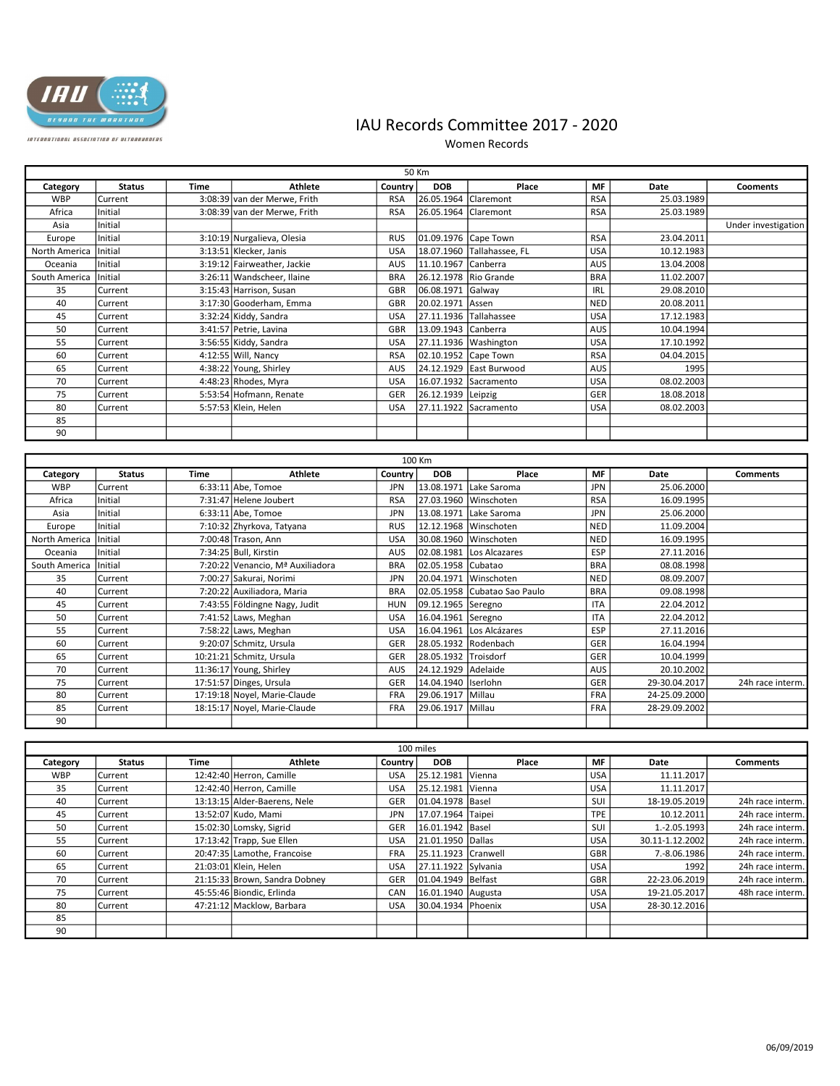

## INTERNATIONAL ASSOCIATION OF ULTRARUNDERS

## IAU Records Committee 2017 - 2020

Women Records

|               | 50 Km              |             |                                                         |                   |                                  |                              |            |                             |                     |  |  |
|---------------|--------------------|-------------|---------------------------------------------------------|-------------------|----------------------------------|------------------------------|------------|-----------------------------|---------------------|--|--|
| Category      | <b>Status</b>      | <b>Time</b> | <b>Athlete</b>                                          | Country           | <b>DOB</b>                       | Place                        | MF         | Date                        | <b>Cooments</b>     |  |  |
| <b>WBP</b>    | Current            |             | 3:08:39 van der Merwe, Frith                            | <b>RSA</b>        | 26.05.1964                       | Claremont                    | <b>RSA</b> | 25.03.1989                  |                     |  |  |
| Africa        | Initial            |             | 3:08:39 van der Merwe, Frith                            | <b>RSA</b>        | 26.05.1964 Claremont             |                              | <b>RSA</b> | 25.03.1989                  |                     |  |  |
| Asia          | Initial            |             |                                                         |                   |                                  |                              |            |                             | Under investigation |  |  |
| Europe        | Initial            |             | 3:10:19 Nurgalieva, Olesia                              | <b>RUS</b>        | 01.09.1976 Cape Town             |                              | <b>RSA</b> | 23.04.2011                  |                     |  |  |
| North America | Initial            |             | 3:13:51 Klecker, Janis                                  | <b>USA</b>        |                                  | 18.07.1960 Tallahassee, FL   | <b>USA</b> | 10.12.1983                  |                     |  |  |
| Oceania       | Initial            |             | 3:19:12 Fairweather, Jackie                             | <b>AUS</b>        | 11.10.1967                       | Canberra                     | AUS        | 13.04.2008                  |                     |  |  |
| South America | Initial            |             | 3:26:11 Wandscheer, Ilaine                              | <b>BRA</b>        |                                  | 26.12.1978 Rio Grande        | <b>BRA</b> | 11.02.2007                  |                     |  |  |
| 35            | Current            |             | 3:15:43 Harrison, Susan                                 | GBR               | 06.08.1971                       | Galway                       | <b>IRL</b> | 29.08.2010                  |                     |  |  |
| 40            | Current            |             | 3:17:30 Gooderham, Emma                                 | <b>GBR</b>        | 20.02.1971                       | Assen                        | <b>NED</b> | 20.08.2011                  |                     |  |  |
| 45            | Current            |             | 3:32:24 Kiddy, Sandra                                   | <b>USA</b>        |                                  | 27.11.1936 Tallahassee       | <b>USA</b> | 17.12.1983                  |                     |  |  |
| 50            | Current            |             | 3:41:57 Petrie, Lavina                                  | GBR               | 13.09.1943                       | Canberra                     | AUS        | 10.04.1994                  |                     |  |  |
| 55            | Current            |             | 3:56:55 Kiddy, Sandra                                   | <b>USA</b>        |                                  | 27.11.1936   Washington      | <b>USA</b> | 17.10.1992                  |                     |  |  |
| 60            | Current            |             | 4:12:55 Will, Nancy                                     | <b>RSA</b>        | 02.10.1952 Cape Town             |                              | <b>RSA</b> | 04.04.2015                  |                     |  |  |
| 65            | Current            |             | 4:38:22 Young, Shirley                                  | AUS               |                                  | 24.12.1929 East Burwood      | AUS        | 1995                        |                     |  |  |
| 70            | Current            |             | 4:48:23 Rhodes, Myra                                    | <b>USA</b>        |                                  | 16.07.1932 Sacramento        | <b>USA</b> | 08.02.2003                  |                     |  |  |
| 75            | Current            |             | 5:53:54 Hofmann, Renate                                 | <b>GER</b>        | 26.12.1939 Leipzig               |                              | GER        | 18.08.2018                  |                     |  |  |
| 80            | Current            |             | 5:57:53 Klein, Helen                                    | <b>USA</b>        | 27.11.1922                       | <b>Sacramento</b>            | <b>USA</b> | 08.02.2003                  |                     |  |  |
| 85            |                    |             |                                                         |                   |                                  |                              |            |                             |                     |  |  |
| 90            |                    |             |                                                         |                   |                                  |                              |            |                             |                     |  |  |
|               |                    |             |                                                         |                   |                                  |                              |            |                             |                     |  |  |
| 100 Km        |                    |             |                                                         |                   |                                  |                              |            |                             |                     |  |  |
|               |                    |             |                                                         |                   |                                  |                              |            |                             |                     |  |  |
| Category      | <b>Status</b>      | <b>Time</b> | <b>Athlete</b>                                          | Country           | <b>DOB</b>                       | Place                        | MF         | Date                        | <b>Comments</b>     |  |  |
| <b>WBP</b>    | Current            |             | $6:33:11$ Abe, Tomoe                                    | <b>JPN</b>        | 13.08.1971                       | Lake Saroma                  | <b>JPN</b> | 25.06.2000                  |                     |  |  |
| Africa        | Initial            |             | 7:31:47 Helene Joubert                                  | <b>RSA</b>        |                                  | 27.03.1960 Winschoten        | <b>RSA</b> | 16.09.1995                  |                     |  |  |
| Asia          | Initial            |             | $6:33:11$ Abe, Tomoe                                    | <b>JPN</b>        | 13.08.1971                       | Lake Saroma                  | JPN        | 25.06.2000                  |                     |  |  |
| Europe        | Initial            |             | 7:10:32 Zhyrkova, Tatyana                               | <b>RUS</b>        | 12.12.1968                       | Winschoten                   | <b>NED</b> | 11.09.2004                  |                     |  |  |
| North America | Initial            |             |                                                         | <b>USA</b>        |                                  | 30.08.1960 Winschoten        | <b>NED</b> | 16.09.1995                  |                     |  |  |
| Oceania       | Initial            |             | 7:00:48 Trason, Ann<br>7:34:25 Bull. Kirstin            | <b>AUS</b>        | 02.08.1981                       | Los Alcazares                | ESP        | 27.11.2016                  |                     |  |  |
| South America | Initial            |             | 7:20:22 Venancio, Mª Auxiliadora                        | <b>BRA</b>        |                                  |                              | <b>BRA</b> | 08.08.1998                  |                     |  |  |
|               | Current            |             | 7:00:27 Sakurai, Norimi                                 | JPN               | 02.05.1958 Cubatao<br>20.04.1971 | <b>Winschoten</b>            | <b>NED</b> | 08.09.2007                  |                     |  |  |
| 35<br>40      | Current            |             | 7:20:22 Auxiliadora, Maria                              | <b>BRA</b>        |                                  | 02.05.1958 Cubatao Sao Paulo | <b>BRA</b> | 09.08.1998                  |                     |  |  |
| 45            |                    |             |                                                         | <b>HUN</b>        |                                  |                              | <b>ITA</b> |                             |                     |  |  |
| 50            | Current<br>Current |             | 7:43:55 Földingne Nagy, Judit                           | <b>USA</b>        | 09.12.1965 Seregno<br>16.04.1961 |                              | <b>ITA</b> | 22.04.2012<br>22.04.2012    |                     |  |  |
| 55            | Current            |             | 7:41:52 Laws, Meghan                                    | <b>USA</b>        | 16.04.1961                       | Seregno<br>Los Alcázares     | <b>ESP</b> | 27.11.2016                  |                     |  |  |
| 60            |                    |             | 7:58:22 Laws, Meghan                                    | GER               |                                  |                              | GER        |                             |                     |  |  |
|               | Current<br>Current |             | 9:20:07 Schmitz, Ursula                                 | GER               |                                  | 28.05.1932 Rodenbach         | GER        | 16.04.1994                  |                     |  |  |
| 65            |                    |             | 10:21:21 Schmitz, Ursula                                |                   | 28.05.1932 Troisdorf             |                              |            | 10.04.1999                  |                     |  |  |
| 70<br>75      | Current<br>Current |             | 11:36:17 Young, Shirley                                 | AUS<br><b>GER</b> | 24.12.1929<br>14.04.1940         | Adelaide<br>Iserlohn         | AUS<br>GER | 20.10.2002<br>29-30.04.2017 | 24h race interm.    |  |  |
| 80            | Current            |             | 17:51:57 Dinges, Ursula<br>17:19:18 Novel, Marie-Claude | FRA               | 29.06.1917 Millau                |                              | FRA        | 24-25.09.2000               |                     |  |  |
| 85            | Current            |             | 18:15:17 Novel, Marie-Claude                            | <b>FRA</b>        | 29.06.1917                       | Millau                       | <b>FRA</b> | 28-29.09.2002               |                     |  |  |
| 90            |                    |             |                                                         |                   |                                  |                              |            |                             |                     |  |  |
|               |                    |             |                                                         |                   |                                  |                              |            |                             |                     |  |  |
|               |                    |             |                                                         |                   | 100 miles                        |                              |            |                             |                     |  |  |

| Category   | <b>Status</b> | Time | Athlete                       | Country    | <b>DOB</b>           | Place         | <b>MF</b>  | Date            | <b>Comments</b>  |
|------------|---------------|------|-------------------------------|------------|----------------------|---------------|------------|-----------------|------------------|
| <b>WBP</b> | Current       |      | 12:42:40 Herron, Camille      | USA        | 25.12.1981           | l Vienna      | <b>USA</b> | 11.11.2017      |                  |
| 35         | Current       |      | 12:42:40 Herron, Camille      | USA        | 25.12.1981           | <b>Vienna</b> | <b>USA</b> | 11.11.2017      |                  |
| 40         | Current       |      | 13:13:15 Alder-Baerens, Nele  | <b>GER</b> | 01.04.1978 Basel     |               | SUI        | 18-19.05.2019   | 24h race interm. |
| 45         | l Current     |      | 13:52:07 Kudo, Mami           | <b>JPN</b> | 17.07.1964 Taipei    |               | <b>TPE</b> | 10.12.2011      | 24h race interm. |
| 50         | Current       |      | 15:02:30 Lomsky, Sigrid       | GER        | 16.01.1942 Basel     |               | SUI        | 1.-2.05.1993    | 24h race interm. |
| 55         | Current       |      | $17:13:42$ Trapp, Sue Ellen   | USA        | 21.01.1950 Dallas    |               | <b>USA</b> | 30.11-1.12.2002 | 24h race interm. |
| 60         | Current       |      | 20:47:35 Lamothe, Francoise   | <b>FRA</b> | 125.11.1923 Cranwell |               | GBR        | 7.-8.06.1986    | 24h race interm. |
| 65         | Current       |      | 21:03:01 Klein, Helen         | <b>USA</b> | 27.11.1922 Sylvania  |               | <b>USA</b> | 1992            | 24h race interm. |
| 70         | l Current     |      | 21:15:33 Brown, Sandra Dobney | GER        | 01.04.1949 Belfast   |               | GBR        | 22-23.06.2019   | 24h race interm. |
| 75         | l Current     |      | 45:55:46 Biondic. Erlinda     | CAN        | 16.01.1940   Augusta |               | <b>USA</b> | 19-21.05.2017   | 48h race interm. |
| 80         | Current       |      | 47:21:12 Macklow, Barbara     | <b>USA</b> | 30.04.1934 Phoenix   |               | USA        | 28-30.12.2016   |                  |
| 85         |               |      |                               |            |                      |               |            |                 |                  |
| 90         |               |      |                               |            |                      |               |            |                 |                  |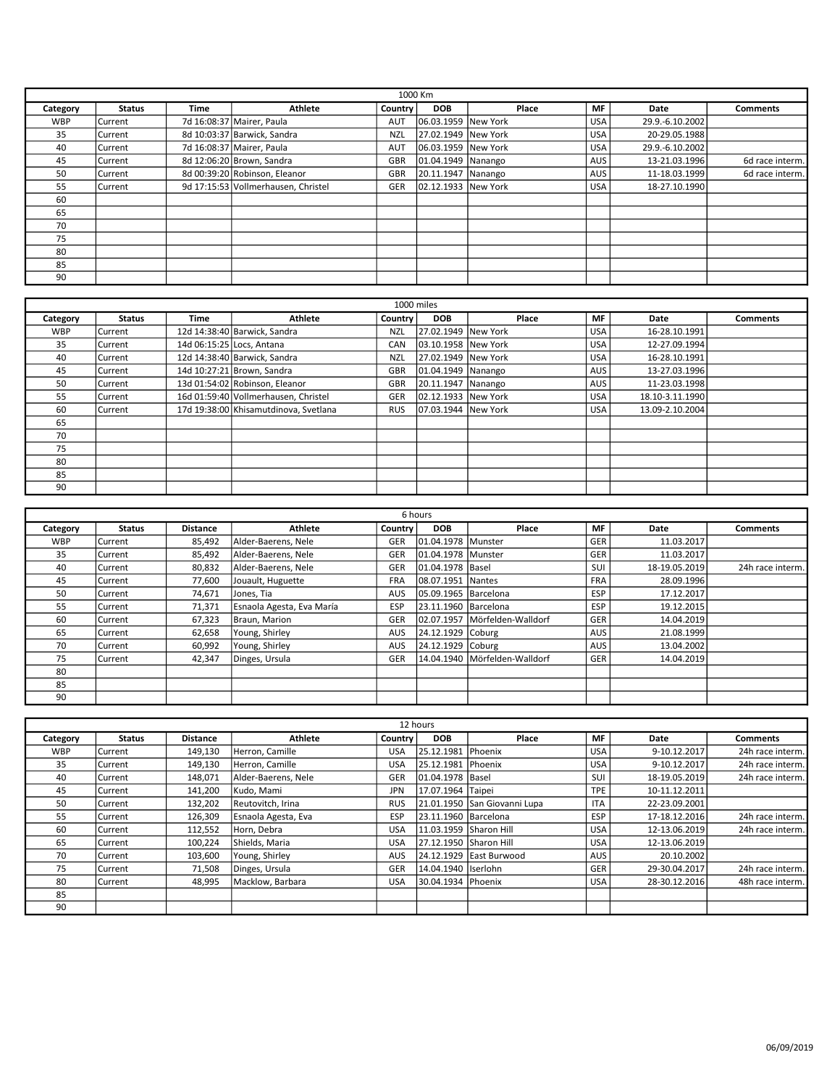|            | 1000 Km        |      |                                     |            |                      |       |            |                 |                 |  |
|------------|----------------|------|-------------------------------------|------------|----------------------|-------|------------|-----------------|-----------------|--|
| Category   | <b>Status</b>  | Time | Athlete                             | Country    | <b>DOB</b>           | Place | <b>MF</b>  | Date            | <b>Comments</b> |  |
| <b>WBP</b> | l Current      |      | 7d 16:08:37 Mairer, Paula           | AUT        | 06.03.1959 New York  |       | <b>USA</b> | 29.9.-6.10.2002 |                 |  |
| 35         | l Current      |      | 8d 10:03:37 Barwick, Sandra         | <b>NZL</b> | 27.02.1949 New York  |       | <b>USA</b> | 20-29.05.1988   |                 |  |
| 40         | lCurrent       |      | 7d 16:08:37 Mairer, Paula           | AUT        | 06.03.1959 New York  |       | <b>USA</b> | 29.9.-6.10.2002 |                 |  |
| 45         | l Current      |      | 8d 12:06:20 Brown, Sandra           | GBR        | 01.04.1949   Nanango |       | AUS        | 13-21.03.1996   | 6d race interm. |  |
| 50         | l Current      |      | 8d 00:39:20 Robinson, Eleanor       | GBR        | 20.11.1947 Nanango   |       | AUS        | 11-18.03.1999   | 6d race interm. |  |
| 55         | <b>Current</b> |      | 9d 17:15:53 Vollmerhausen. Christel | <b>GER</b> | 02.12.1933 New York  |       | <b>USA</b> | 18-27.10.1990   |                 |  |
| 60         |                |      |                                     |            |                      |       |            |                 |                 |  |
| 65         |                |      |                                     |            |                      |       |            |                 |                 |  |
| 70         |                |      |                                     |            |                      |       |            |                 |                 |  |
| 75         |                |      |                                     |            |                      |       |            |                 |                 |  |
| 80         |                |      |                                     |            |                      |       |            |                 |                 |  |
| 85         |                |      |                                     |            |                      |       |            |                 |                 |  |
| 90         |                |      |                                     |            |                      |       |            |                 |                 |  |

|            | 1000 miles    |             |                                       |                |                      |       |            |                 |          |  |  |
|------------|---------------|-------------|---------------------------------------|----------------|----------------------|-------|------------|-----------------|----------|--|--|
| Category   | <b>Status</b> | <b>Time</b> | Athlete                               | <b>Country</b> | <b>DOB</b>           | Place | <b>MF</b>  | Date            | Comments |  |  |
| <b>WBP</b> | l Current     |             | 12d 14:38:40 Barwick, Sandra          | <b>NZL</b>     | 27.02.1949 New York  |       | <b>USA</b> | 16-28.10.1991   |          |  |  |
| 35         | l Current     |             | 14d 06:15:25 Locs, Antana             | CAN            | 03.10.1958 New York  |       | <b>USA</b> | 12-27.09.1994   |          |  |  |
| 40         | l Current     |             | 12d 14:38:40 Barwick, Sandra          | <b>NZL</b>     | 27.02.1949 New York  |       | <b>USA</b> | 16-28.10.1991   |          |  |  |
| 45         | l Current     |             | 14d 10:27:21 Brown, Sandra            | <b>GBR</b>     | 01.04.1949 Nanango   |       | AUS        | 13-27.03.1996   |          |  |  |
| 50         | l Current     |             | 13d 01:54:02 Robinson, Eleanor        | <b>GBR</b>     | 20.11.1947 Nanango   |       | AUS I      | 11-23.03.1998   |          |  |  |
| 55         | l Current     |             | 16d 01:59:40 Vollmerhausen, Christel  | GER            | 02.12.1933 New York  |       | <b>USA</b> | 18.10-3.11.1990 |          |  |  |
| 60         | l Current     |             | 17d 19:38:00 Khisamutdinova, Svetlana | <b>RUS</b>     | 107.03.1944 New York |       | USA        | 13.09-2.10.2004 |          |  |  |
| 65         |               |             |                                       |                |                      |       |            |                 |          |  |  |
| 70         |               |             |                                       |                |                      |       |            |                 |          |  |  |
| 75         |               |             |                                       |                |                      |       |            |                 |          |  |  |
| 80         |               |             |                                       |                |                      |       |            |                 |          |  |  |
| 85         |               |             |                                       |                |                      |       |            |                 |          |  |  |
| 90         |               |             |                                       |                |                      |       |            |                 |          |  |  |

|            | 6 hours       |                 |                           |            |                       |                                 |            |               |                  |  |  |
|------------|---------------|-----------------|---------------------------|------------|-----------------------|---------------------------------|------------|---------------|------------------|--|--|
| Category   | <b>Status</b> | <b>Distance</b> | <b>Athlete</b>            | Country    | <b>DOB</b>            | Place                           | <b>MF</b>  | Date          | <b>Comments</b>  |  |  |
| <b>WBP</b> | lCurrent      | 85,492          | Alder-Baerens, Nele       | GER        | 101.04.1978   Munster |                                 | GER        | 11.03.2017    |                  |  |  |
| 35         | l Current     | 85,492          | Alder-Baerens, Nele       | GER        | 101.04.1978   Munster |                                 | GER        | 11.03.2017    |                  |  |  |
| 40         | l Current     | 80,832          | Alder-Baerens, Nele       | GER        | 01.04.1978 Basel      |                                 | SUI        | 18-19.05.2019 | 24h race interm. |  |  |
| 45         | lCurrent      | 77,600          | Jouault, Huguette         | <b>FRA</b> | 08.07.1951   Nantes   |                                 | <b>FRA</b> | 28.09.1996    |                  |  |  |
| 50         | l Current     | 74,671          | Jones, Tia                | <b>AUS</b> | 05.09.1965 Barcelona  |                                 | ESP        | 17.12.2017    |                  |  |  |
| 55         | l Current     | 71,371          | Esnaola Agesta, Eva María | <b>ESP</b> | 23.11.1960 Barcelona  |                                 | ESP        | 19.12.2015    |                  |  |  |
| 60         | lCurrent      | 67.323          | Braun, Marion             | GER        |                       | 02.07.1957   Mörfelden-Walldorf | GER        | 14.04.2019    |                  |  |  |
| 65         | lCurrent      | 62,658          | Young, Shirley            | <b>AUS</b> | 24.12.1929 Coburg     |                                 | <b>AUS</b> | 21.08.1999    |                  |  |  |
| 70         | lCurrent      | 60,992          | Young, Shirley            | <b>AUS</b> | 24.12.1929 Coburg     |                                 | <b>AUS</b> | 13.04.2002    |                  |  |  |
| 75         | lCurrent      | 42,347          | Dinges, Ursula            | <b>GER</b> |                       | 14.04.1940   Mörfelden-Walldorf | GER        | 14.04.2019    |                  |  |  |
| 80         |               |                 |                           |            |                       |                                 |            |               |                  |  |  |
| 85         |               |                 |                           |            |                       |                                 |            |               |                  |  |  |
| 90         |               |                 |                           |            |                       |                                 |            |               |                  |  |  |

|            | 12 hours      |                 |                     |            |                        |                              |            |               |                  |  |  |  |
|------------|---------------|-----------------|---------------------|------------|------------------------|------------------------------|------------|---------------|------------------|--|--|--|
| Category   | <b>Status</b> | <b>Distance</b> | <b>Athlete</b>      | Country    | <b>DOB</b>             | Place                        | MF         | Date          | Comments         |  |  |  |
| <b>WBP</b> | Current       | 149,130         | Herron, Camille     | <b>USA</b> | 25.12.1981             | <b>IPhoenix</b>              | <b>USA</b> | 9-10.12.2017  | 24h race interm. |  |  |  |
| 35         | Current       | 149,130         | Herron, Camille     | USA        | 25.12.1981             | <b>IPhoenix</b>              | <b>USA</b> | 9-10.12.2017  | 24h race interm. |  |  |  |
| 40         | l Current     | 148.071         | Alder-Baerens, Nele | <b>GER</b> | 01.04.1978 Basel       |                              | SUI        | 18-19.05.2019 | 24h race interm. |  |  |  |
| 45         | Current       | 141,200         | Kudo, Mami          | <b>JPN</b> | 17.07.1964 Taipei      |                              | <b>TPE</b> | 10-11.12.2011 |                  |  |  |  |
| 50         | Current       | 132,202         | Reutovitch, Irina   | <b>RUS</b> |                        | 21.01.1950 San Giovanni Lupa | <b>ITA</b> | 22-23.09.2001 |                  |  |  |  |
| 55         | Current       | 126,309         | Esnaola Agesta, Eva | ESP        | 23.11.1960 Barcelona   |                              | ESP        | 17-18.12.2016 | 24h race interm. |  |  |  |
| 60         | Current       | 112,552         | l Horn. Debra       | <b>USA</b> | 11.03.1959 Sharon Hill |                              | <b>USA</b> | 12-13.06.2019 | 24h race interm. |  |  |  |
| 65         | Current       | 100,224         | Shields, Maria      | <b>USA</b> | 27.12.1950 Sharon Hill |                              | <b>USA</b> | 12-13.06.2019 |                  |  |  |  |
| 70         | l Current     | 103,600         | Young, Shirley      | <b>AUS</b> |                        | 24.12.1929 East Burwood      | <b>AUS</b> | 20.10.2002    |                  |  |  |  |
| 75         | l Current     | 71,508          | Dinges, Ursula      | GER        | 14.04.1940 Iserlohn    |                              | GER        | 29-30.04.2017 | 24h race interm. |  |  |  |
| 80         | lCurrent      | 48.995          | Macklow. Barbara    | <b>USA</b> | 30.04.1934 Phoenix     |                              | <b>USA</b> | 28-30.12.2016 | 48h race interm. |  |  |  |
| 85         |               |                 |                     |            |                        |                              |            |               |                  |  |  |  |
| 90         |               |                 |                     |            |                        |                              |            |               |                  |  |  |  |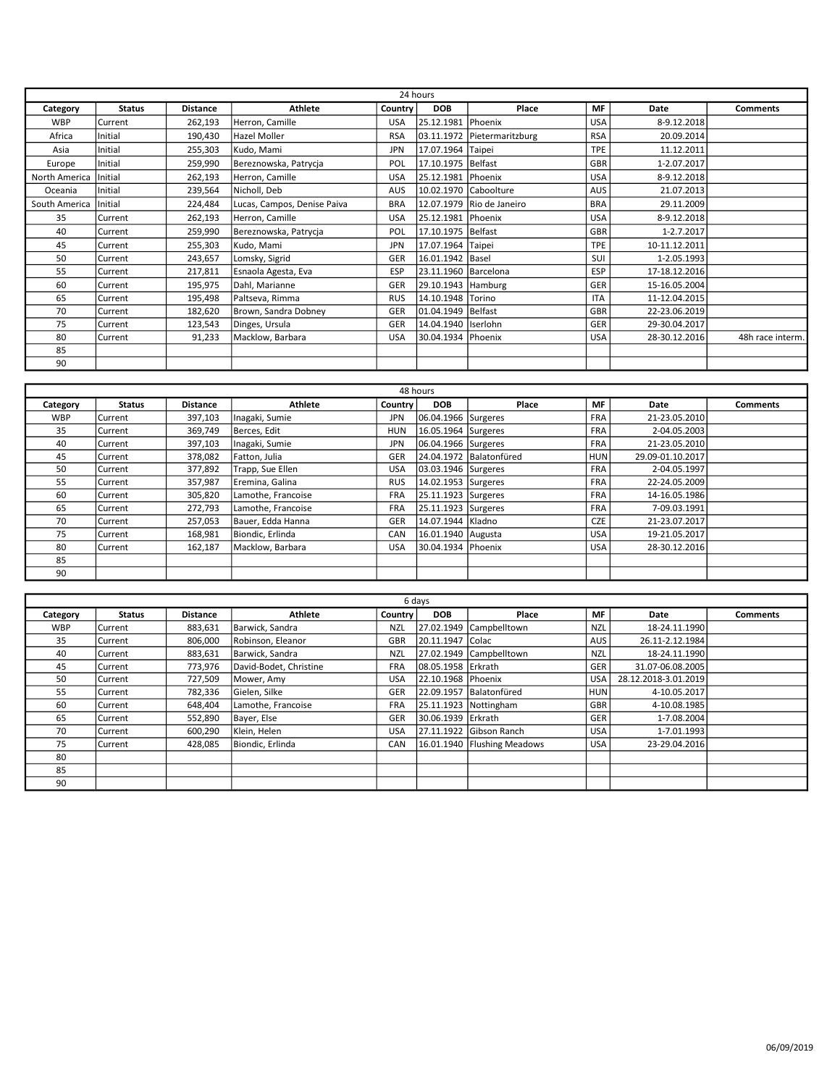|               | 24 hours       |                 |                             |            |                        |                             |            |               |                  |  |
|---------------|----------------|-----------------|-----------------------------|------------|------------------------|-----------------------------|------------|---------------|------------------|--|
| Category      | <b>Status</b>  | <b>Distance</b> | Athlete                     | Country    | <b>DOB</b>             | Place                       | <b>MF</b>  | Date          | <b>Comments</b>  |  |
| <b>WBP</b>    | Current        | 262,193         | Herron, Camille             | USA        | 25.12.1981             | Phoenix                     | <b>USA</b> | 8-9.12.2018   |                  |  |
| Africa        | Initial        | 190,430         | <b>Hazel Moller</b>         | <b>RSA</b> |                        | 03.11.1972 Pietermaritzburg | <b>RSA</b> | 20.09.2014    |                  |  |
| Asia          | Initial        | 255,303         | Kudo, Mami                  | <b>JPN</b> | 17.07.1964 Taipei      |                             | <b>TPE</b> | 11.12.2011    |                  |  |
| Europe        | Initial        | 259,990         | Bereznowska, Patrycja       | POL        | 17.10.1975   Belfast   |                             | GBR        | 1-2.07.2017   |                  |  |
| North America | <b>Initial</b> | 262,193         | Herron, Camille             | <b>USA</b> | 25.12.1981   Phoenix   |                             | USA        | 8-9.12.2018   |                  |  |
| Oceania       | Initial        | 239,564         | Nicholl, Deb                | AUS        |                        | 10.02.1970 Caboolture       | AUS        | 21.07.2013    |                  |  |
| South America | <b>Initial</b> | 224,484         | Lucas, Campos, Denise Paiva | <b>BRA</b> |                        | 12.07.1979 Rio de Janeiro   | <b>BRA</b> | 29.11.2009    |                  |  |
| 35            | Current        | 262,193         | Herron, Camille             | <b>USA</b> | 25.12.1981 Phoenix     |                             | <b>USA</b> | 8-9.12.2018   |                  |  |
| 40            | Current        | 259,990         | Bereznowska, Patrycja       | POL        | 17.10.1975   Belfast   |                             | GBR        | 1-2.7.2017    |                  |  |
| 45            | Current        | 255,303         | Kudo, Mami                  | JPN        | 17.07.1964 Taipei      |                             | <b>TPE</b> | 10-11.12.2011 |                  |  |
| 50            | Current        | 243,657         | Lomsky, Sigrid              | GER        | 16.01.1942   Basel     |                             | SUI        | 1-2.05.1993   |                  |  |
| 55            | Current        | 217,811         | Esnaola Agesta, Eva         | ESP        | 23.11.1960   Barcelona |                             | ESP        | 17-18.12.2016 |                  |  |
| 60            | Current        | 195,975         | Dahl, Marianne              | GER        | 29.10.1943 Hamburg     |                             | <b>GER</b> | 15-16.05.2004 |                  |  |
| 65            | Current        | 195,498         | Paltseva, Rimma             | <b>RUS</b> | 14.10.1948 Torino      |                             | <b>ITA</b> | 11-12.04.2015 |                  |  |
| 70            | <b>Current</b> | 182,620         | Brown, Sandra Dobney        | GER        | 01.04.1949   Belfast   |                             | GBR        | 22-23.06.2019 |                  |  |
| 75            | Current        | 123,543         | Dinges, Ursula              | GER        | 14.04.1940   Iserlohn  |                             | GER        | 29-30.04.2017 |                  |  |
| 80            | Current        | 91,233          | Macklow, Barbara            | <b>USA</b> | 30.04.1934   Phoenix   |                             | <b>USA</b> | 28-30.12.2016 | 48h race interm. |  |
| 85            |                |                 |                             |            |                        |                             |            |               |                  |  |
| 90            |                |                 |                             |            |                        |                             |            |               |                  |  |

|            | 48 hours      |                 |                    |            |                      |                         |            |                  |                 |  |  |
|------------|---------------|-----------------|--------------------|------------|----------------------|-------------------------|------------|------------------|-----------------|--|--|
| Category   | <b>Status</b> | <b>Distance</b> | Athlete            | Country    | <b>DOB</b>           | Place                   | MF         | Date             | <b>Comments</b> |  |  |
| <b>WBP</b> | l Current     | 397,103         | Inagaki, Sumie     | <b>JPN</b> | 06.04.1966 Surgeres  |                         | <b>FRA</b> | 21-23.05.2010    |                 |  |  |
| 35         | Current       | 369,749         | Berces, Edit       | <b>HUN</b> | 16.05.1964 Surgeres  |                         | <b>FRA</b> | 2-04.05.2003     |                 |  |  |
| 40         | Current       | 397,103         | Inagaki, Sumie     | <b>JPN</b> | 06.04.1966 Surgeres  |                         | <b>FRA</b> | 21-23.05.2010    |                 |  |  |
| 45         | Current       | 378,082         | Fatton, Julia      | <b>GER</b> |                      | 24.04.1972 Balatonfüred | <b>HUN</b> | 29.09-01.10.2017 |                 |  |  |
| 50         | Current       | 377,892         | Trapp, Sue Ellen   | <b>USA</b> | 03.03.1946 Surgeres  |                         | <b>FRA</b> | 2-04.05.1997     |                 |  |  |
| 55         | Current       | 357,987         | Eremina, Galina    | <b>RUS</b> | 14.02.1953 Surgeres  |                         | <b>FRA</b> | 22-24.05.2009    |                 |  |  |
| 60         | Current       | 305,820         | Lamothe, Francoise | <b>FRA</b> | 25.11.1923 Surgeres  |                         | <b>FRA</b> | 14-16.05.1986    |                 |  |  |
| 65         | l Current     | 272,793         | Lamothe, Francoise | <b>FRA</b> | 25.11.1923 Surgeres  |                         | <b>FRA</b> | 7-09.03.1991     |                 |  |  |
| 70         | Current       | 257,053         | Bauer, Edda Hanna  | <b>GER</b> | 14.07.1944 Kladno    |                         | <b>CZE</b> | 21-23.07.2017    |                 |  |  |
| 75         | l Current     | 168,981         | Biondic, Erlinda   | CAN        | 16.01.1940   Augusta |                         | <b>USA</b> | 19-21.05.2017    |                 |  |  |
| 80         | l Current     | 162,187         | Macklow. Barbara   | <b>USA</b> | 30.04.1934 Phoenix   |                         | <b>USA</b> | 28-30.12.2016    |                 |  |  |
| 85         |               |                 |                    |            |                      |                         |            |                  |                 |  |  |
| 90         |               |                 |                    |            |                      |                         |            |                  |                 |  |  |

|            | 6 days        |                 |                        |            |                      |                             |            |                      |                 |  |  |  |
|------------|---------------|-----------------|------------------------|------------|----------------------|-----------------------------|------------|----------------------|-----------------|--|--|--|
| Category   | <b>Status</b> | <b>Distance</b> | <b>Athlete</b>         | Country    | <b>DOB</b>           | Place                       | MF         | <b>Date</b>          | <b>Comments</b> |  |  |  |
| <b>WBP</b> | l Current     | 883,631         | Barwick, Sandra        | <b>NZL</b> | 27.02.1949           | Campbelltown                | <b>NZL</b> | 18-24.11.1990        |                 |  |  |  |
| 35         | lCurrent      | 806,000         | Robinson, Eleanor      | <b>GBR</b> | 20.11.1947 Colac     |                             | AUS        | 26.11-2.12.1984      |                 |  |  |  |
| 40         | lCurrent      | 883,631         | Barwick, Sandra        | <b>NZL</b> |                      | 27.02.1949 Campbelltown     | <b>NZL</b> | 18-24.11.1990        |                 |  |  |  |
| 45         | Current       | 773,976         | David-Bodet, Christine | <b>FRA</b> | 108.05.1958 lErkrath |                             | GER        | 31.07-06.08.2005     |                 |  |  |  |
| 50         | lCurrent      | 727,509         | Mower, Amy             | <b>USA</b> | 22.10.1968 Phoenix   |                             | <b>USA</b> | 28.12.2018-3.01.2019 |                 |  |  |  |
| 55         | lCurrent      | 782,336         | Gielen, Silke          | <b>GER</b> |                      | 22.09.1957 Balatonfüred     | <b>HUN</b> | 4-10.05.2017         |                 |  |  |  |
| 60         | Current       | 648.404         | Lamothe. Francoise     | <b>FRA</b> |                      | 25.11.1923   Nottingham     | GBR        | 4-10.08.1985         |                 |  |  |  |
| 65         | Current       | 552,890         | Bayer, Else            | GER        | 130.06.1939 lErkrath |                             | GER        | 1-7.08.2004          |                 |  |  |  |
| 70         | l Current     | 600,290         | Klein, Helen           | <b>USA</b> |                      | 27.11.1922 Gibson Ranch     | <b>USA</b> | 1-7.01.1993          |                 |  |  |  |
| 75         | lCurrent      | 428.085         | Biondic, Erlinda       | <b>CAN</b> |                      | 16.01.1940 Flushing Meadows | <b>USA</b> | 23-29.04.2016        |                 |  |  |  |
| 80         |               |                 |                        |            |                      |                             |            |                      |                 |  |  |  |
| 85         |               |                 |                        |            |                      |                             |            |                      |                 |  |  |  |
| 90         |               |                 |                        |            |                      |                             |            |                      |                 |  |  |  |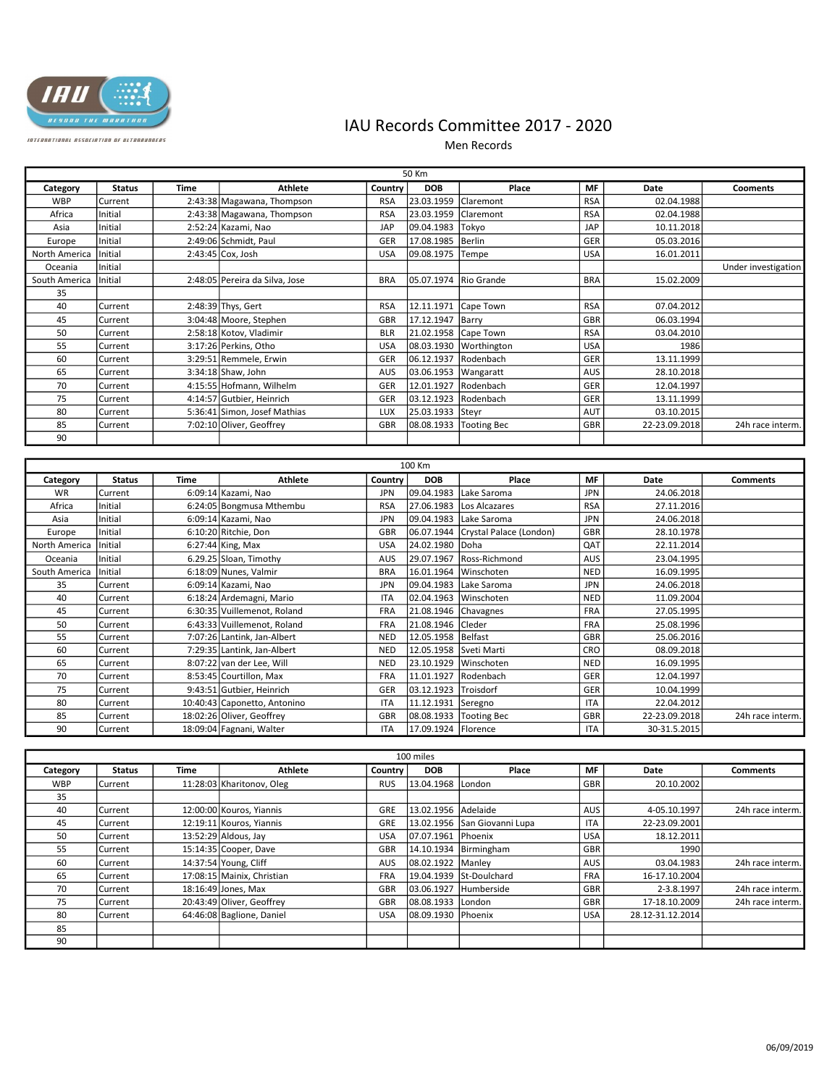

## IAU Records Committee 2017 - 2020

Men Records

|               | 50 Km          |             |                                |            |                      |                        |            |               |                     |  |  |
|---------------|----------------|-------------|--------------------------------|------------|----------------------|------------------------|------------|---------------|---------------------|--|--|
| Category      | <b>Status</b>  | <b>Time</b> | <b>Athlete</b>                 | Country    | <b>DOB</b>           | Place                  | <b>MF</b>  | Date          | <b>Cooments</b>     |  |  |
| <b>WBP</b>    | <b>Current</b> |             | 2:43:38 Magawana, Thompson     | <b>RSA</b> | 23.03.1959           | Claremont              | <b>RSA</b> | 02.04.1988    |                     |  |  |
| Africa        | Initial        |             | 2:43:38 Magawana, Thompson     | <b>RSA</b> | 23.03.1959           | <b>Claremont</b>       | <b>RSA</b> | 02.04.1988    |                     |  |  |
| Asia          | Initial        |             | 2:52:24 Kazami, Nao            | JAP        | 09.04.1983           | Tokyo                  | JAP        | 10.11.2018    |                     |  |  |
| Europe        | <i>Initial</i> |             | 2:49:06 Schmidt, Paul          | <b>GER</b> | 17.08.1985           | <b>Berlin</b>          | GER        | 05.03.2016    |                     |  |  |
| North America | <b>Initial</b> |             | $2:43:45$ Cox, Josh            | <b>USA</b> | 09.08.1975           | Tempe                  | <b>USA</b> | 16.01.2011    |                     |  |  |
| Oceania       | lInitial       |             |                                |            |                      |                        |            |               | Under investigation |  |  |
| South America | Initial        |             | 2:48:05 Pereira da Silva, Jose | <b>BRA</b> | 05.07.1974           | Rio Grande             | <b>BRA</b> | 15.02.2009    |                     |  |  |
| 35            |                |             |                                |            |                      |                        |            |               |                     |  |  |
| 40            | <b>Current</b> |             | 2:48:39 Thys, Gert             | <b>RSA</b> | 12.11.1971           | Cape Town              | <b>RSA</b> | 07.04.2012    |                     |  |  |
| 45            | <b>Current</b> |             | 3:04:48 Moore, Stephen         | GBR        | 17.12.1947   Barry   |                        | <b>GBR</b> | 06.03.1994    |                     |  |  |
| 50            | lCurrent       |             | 2:58:18 Kotov, Vladimir        | <b>BLR</b> | 21.02.1958 Cape Town |                        | <b>RSA</b> | 03.04.2010    |                     |  |  |
| 55            | <b>Current</b> |             | 3:17:26 Perkins, Otho          | <b>USA</b> |                      | 08.03.1930 Worthington | <b>USA</b> | 1986          |                     |  |  |
| 60            | <b>Current</b> |             | 3:29:51 Remmele, Erwin         | GER        | 06.12.1937           | Rodenbach              | <b>GER</b> | 13.11.1999    |                     |  |  |
| 65            | Current        |             | $3:34:18$ Shaw, John           | AUS        | 03.06.1953           | Wangaratt              | AUS        | 28.10.2018    |                     |  |  |
| 70            | Current        |             | 4:15:55 Hofmann, Wilhelm       | GER        | 12.01.1927           | Rodenbach              | GER        | 12.04.1997    |                     |  |  |
| 75            | <b>Current</b> |             | 4:14:57 Gutbier, Heinrich      | GER        | 03.12.1923           | Rodenbach              | GER        | 13.11.1999    |                     |  |  |
| 80            | <b>Current</b> |             | 5:36:41 Simon, Josef Mathias   | <b>LUX</b> | 25.03.1933           | Steyr                  | <b>AUT</b> | 03.10.2015    |                     |  |  |
| 85            | <b>Current</b> |             | 7:02:10 Oliver, Geoffrey       | <b>GBR</b> | 08.08.1933           | Tooting Bec            | <b>GBR</b> | 22-23.09.2018 | 24h race interm.    |  |  |
| 90            |                |             |                                |            |                      |                        |            |               |                     |  |  |

|               | 100 Km        |      |                              |            |                        |                                    |            |               |                  |  |  |  |
|---------------|---------------|------|------------------------------|------------|------------------------|------------------------------------|------------|---------------|------------------|--|--|--|
| Category      | <b>Status</b> | Time | <b>Athlete</b>               | Country    | <b>DOB</b>             | Place                              | <b>MF</b>  | Date          | <b>Comments</b>  |  |  |  |
| <b>WR</b>     | Current       |      | 6:09:14 Kazami, Nao          | <b>JPN</b> | 09.04.1983             | Lake Saroma                        | <b>JPN</b> | 24.06.2018    |                  |  |  |  |
| Africa        | Initial       |      | 6:24:05 Bongmusa Mthembu     | <b>RSA</b> |                        | 27.06.1983 Los Alcazares           | <b>RSA</b> | 27.11.2016    |                  |  |  |  |
| Asia          | Initial       |      | 6:09:14 Kazami, Nao          | <b>JPN</b> | 09.04.1983             | Lake Saroma                        | <b>JPN</b> | 24.06.2018    |                  |  |  |  |
| Europe        | Initial       |      | $6:10:20$ Ritchie, Don       | GBR        |                        | 06.07.1944 Crystal Palace (London) | GBR        | 28.10.1978    |                  |  |  |  |
| North America | Initial       |      | $6:27:44$ King, Max          | <b>USA</b> | 24.02.1980 Doha        |                                    | QAT        | 22.11.2014    |                  |  |  |  |
| Oceania       | Initial       |      | 6.29.25 Sloan, Timothy       | AUS        |                        | 29.07.1967 Ross-Richmond           | <b>AUS</b> | 23.04.1995    |                  |  |  |  |
| South America | Initial       |      | $6:18:09$ Nunes, Valmir      | <b>BRA</b> |                        | 16.01.1964 Winschoten              | <b>NED</b> | 16.09.1995    |                  |  |  |  |
| 35            | Current       |      | $6:09:14$ Kazami, Nao        | <b>JPN</b> | 09.04.1983             | Lake Saroma                        | <b>JPN</b> | 24.06.2018    |                  |  |  |  |
| 40            | l Current     |      | 6:18:24 Ardemagni, Mario     | <b>ITA</b> | 02.04.1963             | <b>Winschoten</b>                  | <b>NED</b> | 11.09.2004    |                  |  |  |  |
| 45            | Current       |      | 6:30:35 Vuillemenot, Roland  | <b>FRA</b> | 21.08.1946 Chavagnes   |                                    | <b>FRA</b> | 27.05.1995    |                  |  |  |  |
| 50            | Current       |      | 6:43:33 Vuillemenot, Roland  | <b>FRA</b> | 21.08.1946 Cleder      |                                    | <b>FRA</b> | 25.08.1996    |                  |  |  |  |
| 55            | Current       |      | 7:07:26 Lantink, Jan-Albert  | <b>NED</b> | 12.05.1958   Belfast   |                                    | GBR        | 25.06.2016    |                  |  |  |  |
| 60            | lCurrent      |      | 7:29:35 Lantink, Jan-Albert  | <b>NED</b> | 12.05.1958 Sveti Marti |                                    | CRO        | 08.09.2018    |                  |  |  |  |
| 65            | Current       |      | 8:07:22 van der Lee, Will    | NED        | 23.10.1929             | Winschoten                         | <b>NED</b> | 16.09.1995    |                  |  |  |  |
| 70            | Current       |      | 8:53:45 Courtillon, Max      | <b>FRA</b> | 11.01.1927 Rodenbach   |                                    | GER        | 12.04.1997    |                  |  |  |  |
| 75            | lCurrent      |      | 9:43:51 Gutbier, Heinrich    | GER        | 03.12.1923             | <b>Troisdorf</b>                   | GER        | 10.04.1999    |                  |  |  |  |
| 80            | Current       |      | 10:40:43 Caponetto, Antonino | <b>ITA</b> | 11.12.1931             | Seregno                            | <b>ITA</b> | 22.04.2012    |                  |  |  |  |
| 85            | Current       |      | 18:02:26 Oliver, Geoffrey    | GBR        |                        | 08.08.1933 Tooting Bec             | GBR        | 22-23.09.2018 | 24h race interm. |  |  |  |
| 90            | Current       |      | 18:09:04 Fagnani, Walter     | <b>ITA</b> | 17.09.1924   Florence  |                                    | <b>ITA</b> | 30-31.5.2015  |                  |  |  |  |

|            | 100 miles      |      |                            |                |                     |                              |            |                  |                  |  |  |
|------------|----------------|------|----------------------------|----------------|---------------------|------------------------------|------------|------------------|------------------|--|--|
| Category   | <b>Status</b>  | Time | <b>Athlete</b>             | <b>Country</b> | <b>DOB</b>          | Place                        | MF         | Date             | <b>Comments</b>  |  |  |
| <b>WBP</b> | <b>Current</b> |      | 11:28:03 Kharitonov, Oleg  | <b>RUS</b>     | 13.04.1968 London   |                              | GBR        | 20.10.2002       |                  |  |  |
| 35         |                |      |                            |                |                     |                              |            |                  |                  |  |  |
| 40         | lCurrent       |      | 12:00:00 Kouros, Yiannis   | GRE            | 13.02.1956 Adelaide |                              | <b>AUS</b> | 4-05.10.1997     | 24h race interm. |  |  |
| 45         | l Current      |      | 12:19:11 Kouros, Yiannis   | GRE            |                     | 13.02.1956 San Giovanni Lupa | <b>ITA</b> | 22-23.09.2001    |                  |  |  |
| 50         | <b>Current</b> |      | $13:52:29$ Aldous, Jay     | <b>USA</b>     | 07.07.1961 Phoenix  |                              | <b>USA</b> | 18.12.2011       |                  |  |  |
| 55         | <b>Current</b> |      | $15:14:35$ Cooper, Dave    | GBR            |                     | 14.10.1934   Birmingham      | GBR        | 1990             |                  |  |  |
| 60         | Current        |      | 14:37:54 Young, Cliff      | <b>AUS</b>     | 08.02.1922   Manley |                              | <b>AUS</b> | 03.04.1983       | 24h race interm. |  |  |
| 65         | <b>Current</b> |      | 17:08:15 Mainix, Christian | <b>FRA</b>     |                     | 19.04.1939 St-Doulchard      | <b>FRA</b> | 16-17.10.2004    |                  |  |  |
| 70         | l Current      |      | 18:16:49 Jones, Max        | <b>GBR</b>     |                     | 03.06.1927 Humberside        | <b>GBR</b> | 2-3.8.1997       | 24h race interm. |  |  |
| 75         | l Current      |      | 20:43:49 Oliver, Geoffrey  | <b>GBR</b>     | 08.08.1933 London   |                              | <b>GBR</b> | 17-18.10.2009    | 24h race interm. |  |  |
| 80         | l Current      |      | 64:46:08 Baglione, Daniel  | <b>USA</b>     | 08.09.1930 Phoenix  |                              | <b>USA</b> | 28.12-31.12.2014 |                  |  |  |
| 85         |                |      |                            |                |                     |                              |            |                  |                  |  |  |
| 90         |                |      |                            |                |                     |                              |            |                  |                  |  |  |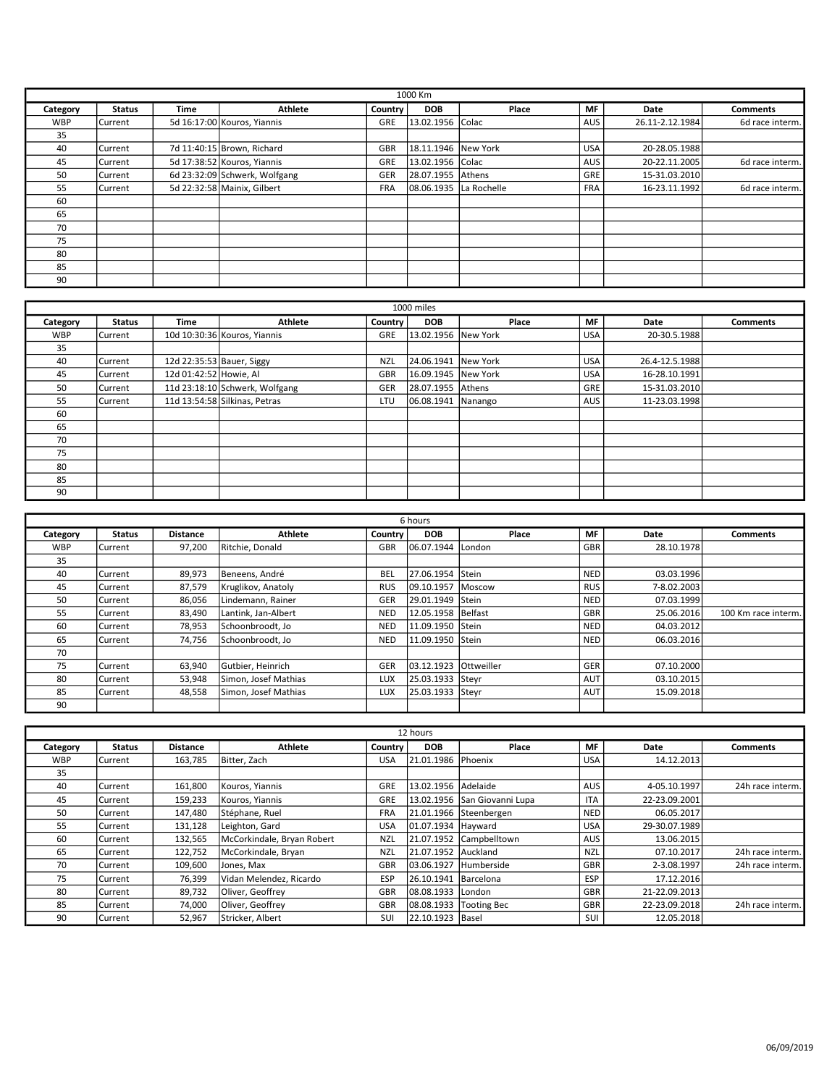| 1000 Km    |                |             |                               |            |                        |       |            |                 |                 |
|------------|----------------|-------------|-------------------------------|------------|------------------------|-------|------------|-----------------|-----------------|
| Category   | <b>Status</b>  | <b>Time</b> | <b>Athlete</b>                | Country    | <b>DOB</b>             | Place | <b>MF</b>  | <b>Date</b>     | <b>Comments</b> |
| <b>WBP</b> | <b>Current</b> |             | 5d 16:17:00 Kouros, Yiannis   | <b>GRE</b> | 13.02.1956 Colac       |       | <b>AUS</b> | 26.11-2.12.1984 | 6d race interm. |
| 35         |                |             |                               |            |                        |       |            |                 |                 |
| 40         | Current        |             | 7d 11:40:15 Brown, Richard    | GBR        | 18.11.1946 New York    |       | <b>USA</b> | 20-28.05.1988   |                 |
| 45         | <b>Current</b> |             | 5d 17:38:52 Kouros, Yiannis   | GRE        | 13.02.1956 Colac       |       | <b>AUS</b> | 20-22.11.2005   | 6d race interm. |
| 50         | <b>Current</b> |             | 6d 23:32:09 Schwerk, Wolfgang | GER        | 28.07.1955 Athens      |       | GRE        | 15-31.03.2010   |                 |
| 55         | <b>Current</b> |             | 5d 22:32:58 Mainix, Gilbert   | <b>FRA</b> | 08.06.1935 La Rochelle |       | <b>FRA</b> | 16-23.11.1992   | 6d race interm. |
| 60         |                |             |                               |            |                        |       |            |                 |                 |
| 65         |                |             |                               |            |                        |       |            |                 |                 |
| 70         |                |             |                               |            |                        |       |            |                 |                 |
| 75         |                |             |                               |            |                        |       |            |                 |                 |
| 80         |                |             |                               |            |                        |       |            |                 |                 |
| 85         |                |             |                               |            |                        |       |            |                 |                 |
| 90         |                |             |                               |            |                        |       |            |                 |                 |

| 1000 miles |                |                           |                                |            |                      |       |            |                |                 |  |
|------------|----------------|---------------------------|--------------------------------|------------|----------------------|-------|------------|----------------|-----------------|--|
| Category   | <b>Status</b>  | Time                      | Athlete                        | Country    | <b>DOB</b>           | Place | MF         | Date           | <b>Comments</b> |  |
| <b>WBP</b> | <b>Current</b> |                           | 10d 10:30:36 Kouros, Yiannis   | <b>GRE</b> | 13.02.1956 New York  |       | <b>USA</b> | 20-30.5.1988   |                 |  |
| 35         |                |                           |                                |            |                      |       |            |                |                 |  |
| 40         | Current        | 12d 22:35:53 Bauer, Siggy |                                | <b>NZL</b> | 24.06.1941 New York  |       | <b>USA</b> | 26.4-12.5.1988 |                 |  |
| 45         | Current        | 12d 01:42:52 Howie, Al    |                                | GBR        | 16.09.1945 New York  |       | <b>USA</b> | 16-28.10.1991  |                 |  |
| 50         | <b>Current</b> |                           | 11d 23:18:10 Schwerk, Wolfgang | GER        | 28.07.1955 Athens    |       | GRE        | 15-31.03.2010  |                 |  |
| 55         | <b>Current</b> |                           | 11d 13:54:58 Silkinas, Petras  | LTU        | 06.08.1941   Nanango |       | <b>AUS</b> | 11-23.03.1998  |                 |  |
| 60         |                |                           |                                |            |                      |       |            |                |                 |  |
| 65         |                |                           |                                |            |                      |       |            |                |                 |  |
| 70         |                |                           |                                |            |                      |       |            |                |                 |  |
| 75         |                |                           |                                |            |                      |       |            |                |                 |  |
| 80         |                |                           |                                |            |                      |       |            |                |                 |  |
| 85         |                |                           |                                |            |                      |       |            |                |                 |  |
| 90         |                |                           |                                |            |                      |       |            |                |                 |  |

|            |                |                 |                      |            | 6 hours               |        |            |             |                     |
|------------|----------------|-----------------|----------------------|------------|-----------------------|--------|------------|-------------|---------------------|
| Category   | <b>Status</b>  | <b>Distance</b> | <b>Athlete</b>       | Country    | <b>DOB</b>            | Place  | <b>MF</b>  | <b>Date</b> | <b>Comments</b>     |
| <b>WBP</b> | <b>Current</b> | 97,200          | Ritchie. Donald      | <b>GBR</b> | 06.07.1944 London     |        | GBR        | 28.10.1978  |                     |
| 35         |                |                 |                      |            |                       |        |            |             |                     |
| 40         | <b>Current</b> | 89,973          | Beneens, André       | BEL        | 27.06.1954 Stein      |        | NED        | 03.03.1996  |                     |
| 45         | <b>Current</b> | 87,579          | Kruglikov, Anatoly   | <b>RUS</b> | 09.10.1957            | Moscow | <b>RUS</b> | 7-8.02.2003 |                     |
| 50         | <b>Current</b> | 86,056          | Lindemann, Rainer    | GER        | 29.01.1949   Stein    |        | <b>NED</b> | 07.03.1999  |                     |
| 55         | l Current      | 83,490          | Lantink, Jan-Albert  | <b>NED</b> | 12.05.1958 Belfast    |        | GBR        | 25.06.2016  | 100 Km race interm. |
| 60         | <b>Current</b> | 78,953          | Schoonbroodt, Jo     | <b>NED</b> | 11.09.1950 Stein      |        | <b>NED</b> | 04.03.2012  |                     |
| 65         | l Current      | 74.756          | Schoonbroodt. Jo     | <b>NED</b> | 11.09.1950 Stein      |        | NED        | 06.03.2016  |                     |
| 70         |                |                 |                      |            |                       |        |            |             |                     |
| 75         | Current        | 63,940          | Gutbier, Heinrich    | GER        | 03.12.1923 Ottweiller |        | GER        | 07.10.2000  |                     |
| 80         | <b>Current</b> | 53,948          | Simon, Josef Mathias | <b>LUX</b> | 25.03.1933 Steyr      |        | <b>AUT</b> | 03.10.2015  |                     |
| 85         | <b>Current</b> | 48,558          | Simon, Josef Mathias | <b>LUX</b> | 25.03.1933 Steyr      |        | <b>AUT</b> | 15.09.2018  |                     |
| 90         |                |                 |                      |            |                       |        |            |             |                     |

| 12 hours   |                |                 |                            |            |                      |                              |            |               |                  |
|------------|----------------|-----------------|----------------------------|------------|----------------------|------------------------------|------------|---------------|------------------|
| Category   | <b>Status</b>  | <b>Distance</b> | <b>Athlete</b>             | Country    | <b>DOB</b>           | Place                        | MF         | Date          | Comments         |
| <b>WBP</b> | <b>Current</b> | 163.785         | Bitter, Zach               | <b>USA</b> | 21.01.1986 Phoenix   |                              | <b>USA</b> | 14.12.2013    |                  |
| 35         |                |                 |                            |            |                      |                              |            |               |                  |
| 40         | lCurrent       | 161,800         | Kouros, Yiannis            | GRE        | 13.02.1956 Adelaide  |                              | <b>AUS</b> | 4-05.10.1997  | 24h race interm. |
| 45         | l Current      | 159,233         | Kouros, Yiannis            | GRE        |                      | 13.02.1956 San Giovanni Lupa | <b>ITA</b> | 22-23.09.2001 |                  |
| 50         | lCurrent       | 147,480         | Stéphane, Ruel             | <b>FRA</b> |                      | 21.01.1966 Steenbergen       | <b>NED</b> | 06.05.2017    |                  |
| 55         | l Current      | 131,128         | Leighton, Gard             | <b>USA</b> | 01.07.1934 Havward   |                              | <b>USA</b> | 29-30.07.1989 |                  |
| 60         | l Current      | 132,565         | McCorkindale, Bryan Robert | <b>NZL</b> |                      | 21.07.1952 Campbelltown      | <b>AUS</b> | 13.06.2015    |                  |
| 65         | l Current      | 122,752         | McCorkindale, Bryan        | <b>NZL</b> | 21.07.1952 Auckland  |                              | <b>NZL</b> | 07.10.2017    | 24h race interm. |
| 70         | l Current      | 109,600         | Jones, Max                 | <b>GBR</b> | 03.06.1927           | <b>Humberside</b>            | <b>GBR</b> | 2-3.08.1997   | 24h race interm. |
| 75         | l Current      | 76,399          | Vidan Melendez, Ricardo    | <b>ESP</b> | 26.10.1941 Barcelona |                              | ESP        | 17.12.2016    |                  |
| 80         | l Current      | 89,732          | Oliver, Geoffrey           | <b>GBR</b> | 08.08.1933   London  |                              | <b>GBR</b> | 21-22.09.2013 |                  |
| 85         | l Current      | 74,000          | Oliver, Geoffrey           | GBR        | 08.08.1933           | Tooting Bec                  | GBR        | 22-23.09.2018 | 24h race interm. |
| 90         | l Current      | 52,967          | Stricker, Albert           | SUI        | 22.10.1923 Basel     |                              | SUI        | 12.05.2018    |                  |